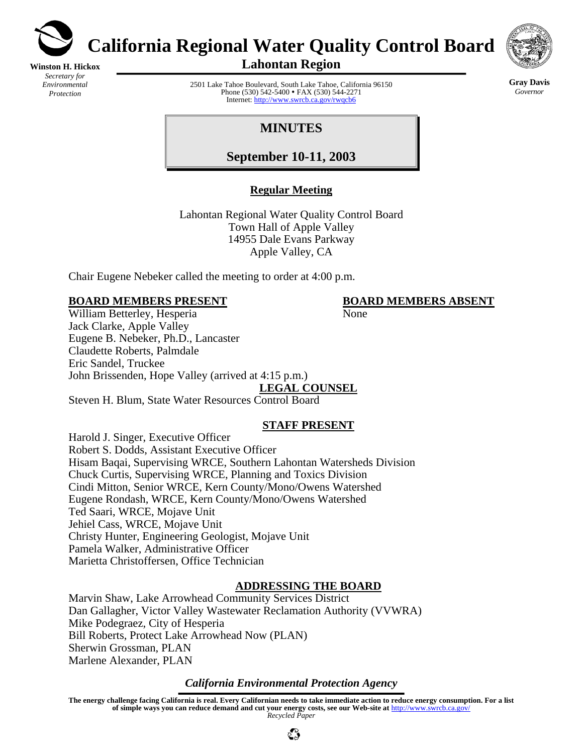

**California Regional Water Quality Control Board** 

**Winston H. Hickox** *Secretary for Environmental Protection* 

**Lahontan Region** 



2501 Lake Tahoe Boulevard, South Lake Tahoe, California 96150 Phone (530) 542-5400 • FAX (530) 544-2271 Internet:<http://www.swrcb.ca.gov/rwqcb6>

**Gray Davis** *Governor* 

# **MINUTES**

**September 10-11, 2003**

### **Regular Meeting**

Lahontan Regional Water Quality Control Board Town Hall of Apple Valley 14955 Dale Evans Parkway Apple Valley, CA

Chair Eugene Nebeker called the meeting to order at 4:00 p.m.

### **BOARD MEMBERS PRESENT BOARD MEMBERS ABSENT**

William Betterley, Hesperia None Jack Clarke, Apple Valley Eugene B. Nebeker, Ph.D., Lancaster Claudette Roberts, Palmdale Eric Sandel, Truckee John Brissenden, Hope Valley (arrived at 4:15 p.m.) **LEGAL COUNSEL**

Steven H. Blum, State Water Resources Control Board

# **STAFF PRESENT**

Harold J. Singer, Executive Officer Robert S. Dodds, Assistant Executive Officer Hisam Baqai, Supervising WRCE, Southern Lahontan Watersheds Division Chuck Curtis, Supervising WRCE, Planning and Toxics Division Cindi Mitton, Senior WRCE, Kern County/Mono/Owens Watershed Eugene Rondash, WRCE, Kern County/Mono/Owens Watershed Ted Saari, WRCE, Mojave Unit Jehiel Cass, WRCE, Mojave Unit Christy Hunter, Engineering Geologist, Mojave Unit Pamela Walker, Administrative Officer Marietta Christoffersen, Office Technician

# **ADDRESSING THE BOARD**

Marvin Shaw, Lake Arrowhead Community Services District Dan Gallagher, Victor Valley Wastewater Reclamation Authority (VVWRA) Mike Podegraez, City of Hesperia Bill Roberts, Protect Lake Arrowhead Now (PLAN) Sherwin Grossman, PLAN Marlene Alexander, PLAN

### *California Environmental Protection Agency*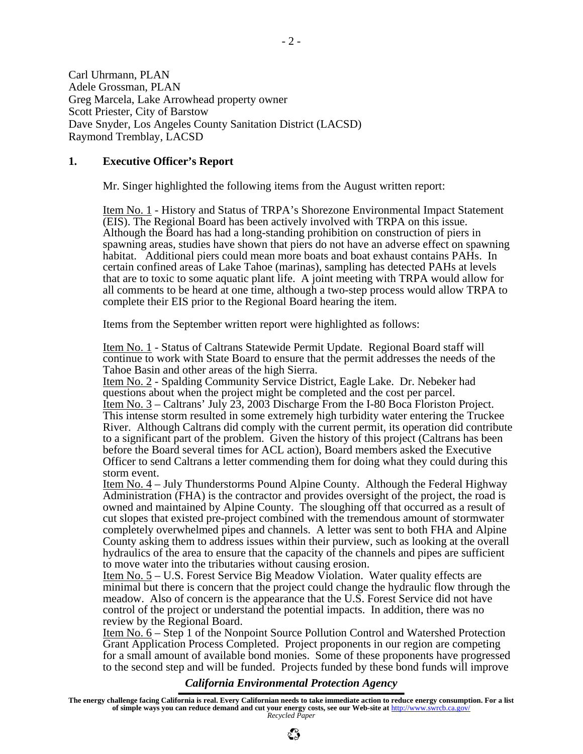Carl Uhrmann, PLAN Adele Grossman, PLAN Greg Marcela, Lake Arrowhead property owner Scott Priester, City of Barstow Dave Snyder, Los Angeles County Sanitation District (LACSD) Raymond Tremblay, LACSD

#### **1. Executive Officer's Report**

Mr. Singer highlighted the following items from the August written report:

Item No. 1 - History and Status of TRPA's Shorezone Environmental Impact Statement (EIS). The Regional Board has been actively involved with TRPA on this issue. Although the Board has had a long-standing prohibition on construction of piers in spawning areas, studies have shown that piers do not have an adverse effect on spawning habitat. Additional piers could mean more boats and boat exhaust contains PAHs. In certain confined areas of Lake Tahoe (marinas), sampling has detected PAHs at levels that are to toxic to some aquatic plant life. A joint meeting with TRPA would allow for all comments to be heard at one time, although a two-step process would allow TRPA to complete their EIS prior to the Regional Board hearing the item.

Items from the September written report were highlighted as follows:

Item No. 1 - Status of Caltrans Statewide Permit Update. Regional Board staff will continue to work with State Board to ensure that the permit addresses the needs of the Tahoe Basin and other areas of the high Sierra.

Item No. 2 - Spalding Community Service District, Eagle Lake. Dr. Nebeker had questions about when the project might be completed and the cost per parcel. Item No. 3 – Caltrans' July 23, 2003 Discharge From the I-80 Boca Floriston Project. This intense storm resulted in some extremely high turbidity water entering the Truckee River. Although Caltrans did comply with the current permit, its operation did contribute to a significant part of the problem. Given the history of this project (Caltrans has been before the Board several times for ACL action), Board members asked the Executive Officer to send Caltrans a letter commending them for doing what they could during this storm event.

Item No. 4 – July Thunderstorms Pound Alpine County. Although the Federal Highway Administration (FHA) is the contractor and provides oversight of the project, the road is owned and maintained by Alpine County. The sloughing off that occurred as a result of cut slopes that existed pre-project combined with the tremendous amount of stormwater completely overwhelmed pipes and channels. A letter was sent to both FHA and Alpine County asking them to address issues within their purview, such as looking at the overall hydraulics of the area to ensure that the capacity of the channels and pipes are sufficient to move water into the tributaries without causing erosion.

Item No. 5 – U.S. Forest Service Big Meadow Violation. Water quality effects are minimal but there is concern that the project could change the hydraulic flow through the meadow. Also of concern is the appearance that the U.S. Forest Service did not have control of the project or understand the potential impacts. In addition, there was no review by the Regional Board.

Item No. 6 – Step 1 of the Nonpoint Source Pollution Control and Watershed Protection Grant Application Process Completed. Project proponents in our region are competing for a small amount of available bond monies. Some of these proponents have progressed to the second step and will be funded. Projects funded by these bond funds will improve

### *California Environmental Protection Agency*

**The energy challenge facing California is real. Every Californian needs to take immediate action to reduce energy consumption. For a list of simple ways you can reduce demand and cut your energy costs, see our Web-site at** http://www.swrcb.ca.gov/ *Recycled Paper*

 $\mathbb{C}^{\infty}_{\mathcal{P}}$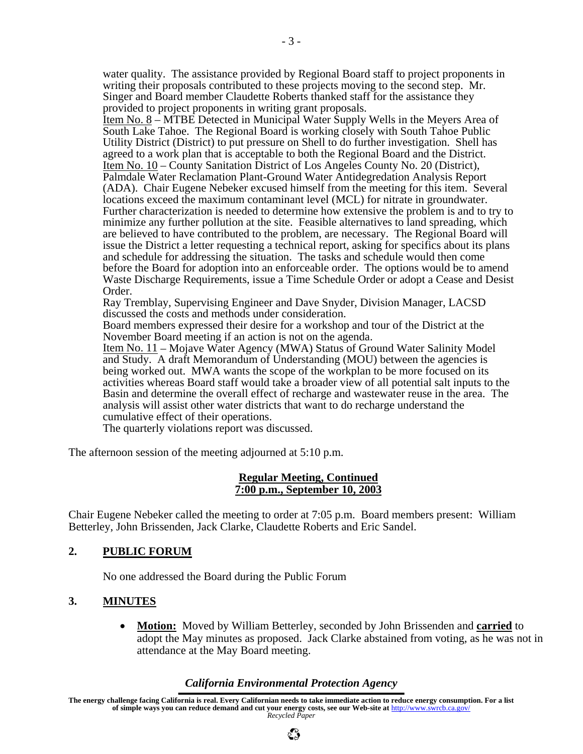water quality. The assistance provided by Regional Board staff to project proponents in writing their proposals contributed to these projects moving to the second step. Mr. Singer and Board member Claudette Roberts thanked staff for the assistance they provided to project proponents in writing grant proposals.

Item No. 8 – MTBE Detected in Municipal Water Supply Wells in the Meyers Area of South Lake Tahoe. The Regional Board is working closely with South Tahoe Public Utility District (District) to put pressure on Shell to do further investigation. Shell has agreed to a work plan that is acceptable to both the Regional Board and the District. Item No. 10 – County Sanitation District of Los Angeles County No. 20 (District), Palmdale Water Reclamation Plant-Ground Water Antidegredation Analysis Report (ADA). Chair Eugene Nebeker excused himself from the meeting for this item. Several locations exceed the maximum contaminant level (MCL) for nitrate in groundwater. Further characterization is needed to determine how extensive the problem is and to try to minimize any further pollution at the site. Feasible alternatives to land spreading, which are believed to have contributed to the problem, are necessary. The Regional Board will issue the District a letter requesting a technical report, asking for specifics about its plans and schedule for addressing the situation. The tasks and schedule would then come before the Board for adoption into an enforceable order. The options would be to amend Waste Discharge Requirements, issue a Time Schedule Order or adopt a Cease and Desist Order.

Ray Tremblay, Supervising Engineer and Dave Snyder, Division Manager, LACSD discussed the costs and methods under consideration.

Board members expressed their desire for a workshop and tour of the District at the November Board meeting if an action is not on the agenda.

Item No. 11 – Mojave Water Agency (MWA) Status of Ground Water Salinity Model and Study. A draft Memorandum of Understanding (MOU) between the agencies is being worked out. MWA wants the scope of the workplan to be more focused on its activities whereas Board staff would take a broader view of all potential salt inputs to the Basin and determine the overall effect of recharge and wastewater reuse in the area. The analysis will assist other water districts that want to do recharge understand the cumulative effect of their operations.

The quarterly violations report was discussed.

The afternoon session of the meeting adjourned at 5:10 p.m.

#### **Regular Meeting, Continued 7:00 p.m., September 10, 2003**

Chair Eugene Nebeker called the meeting to order at 7:05 p.m. Board members present: William Betterley, John Brissenden, Jack Clarke, Claudette Roberts and Eric Sandel.

### **2. PUBLIC FORUM**

No one addressed the Board during the Public Forum

### **3. MINUTES**

• **Motion:** Moved by William Betterley, seconded by John Brissenden and **carried** to adopt the May minutes as proposed. Jack Clarke abstained from voting, as he was not in attendance at the May Board meeting.

### *California Environmental Protection Agency*

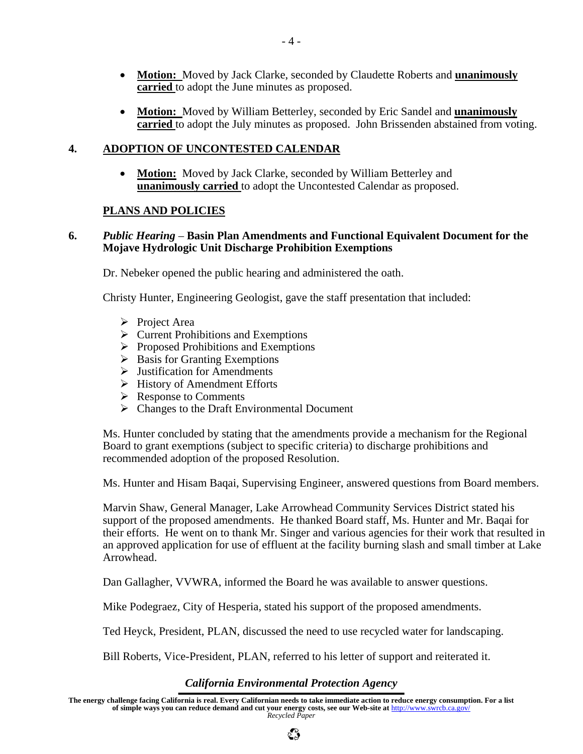- **Motion:** Moved by Jack Clarke, seconded by Claudette Roberts and **unanimously carried** to adopt the June minutes as proposed.
- **Motion:** Moved by William Betterley, seconded by Eric Sandel and **unanimously carried** to adopt the July minutes as proposed. John Brissenden abstained from voting.

### **4. ADOPTION OF UNCONTESTED CALENDAR**

• **Motion:** Moved by Jack Clarke, seconded by William Betterley and **unanimously carried** to adopt the Uncontested Calendar as proposed.

### **PLANS AND POLICIES**

### **6.** *Public Hearing* – **Basin Plan Amendments and Functional Equivalent Document for the Mojave Hydrologic Unit Discharge Prohibition Exemptions**

Dr. Nebeker opened the public hearing and administered the oath.

Christy Hunter, Engineering Geologist, gave the staff presentation that included:

- $\triangleright$  Project Area
- $\triangleright$  Current Prohibitions and Exemptions
- $\triangleright$  Proposed Prohibitions and Exemptions
- $\triangleright$  Basis for Granting Exemptions
- $\triangleright$  Justification for Amendments
- ¾ History of Amendment Efforts
- $\triangleright$  Response to Comments
- $\triangleright$  Changes to the Draft Environmental Document

Ms. Hunter concluded by stating that the amendments provide a mechanism for the Regional Board to grant exemptions (subject to specific criteria) to discharge prohibitions and recommended adoption of the proposed Resolution.

Ms. Hunter and Hisam Baqai, Supervising Engineer, answered questions from Board members.

Marvin Shaw, General Manager, Lake Arrowhead Community Services District stated his support of the proposed amendments. He thanked Board staff, Ms. Hunter and Mr. Baqai for their efforts. He went on to thank Mr. Singer and various agencies for their work that resulted in an approved application for use of effluent at the facility burning slash and small timber at Lake Arrowhead.

Dan Gallagher, VVWRA, informed the Board he was available to answer questions.

Mike Podegraez, City of Hesperia, stated his support of the proposed amendments.

Ted Heyck, President, PLAN, discussed the need to use recycled water for landscaping.

Bill Roberts, Vice-President, PLAN, referred to his letter of support and reiterated it.

# *California Environmental Protection Agency*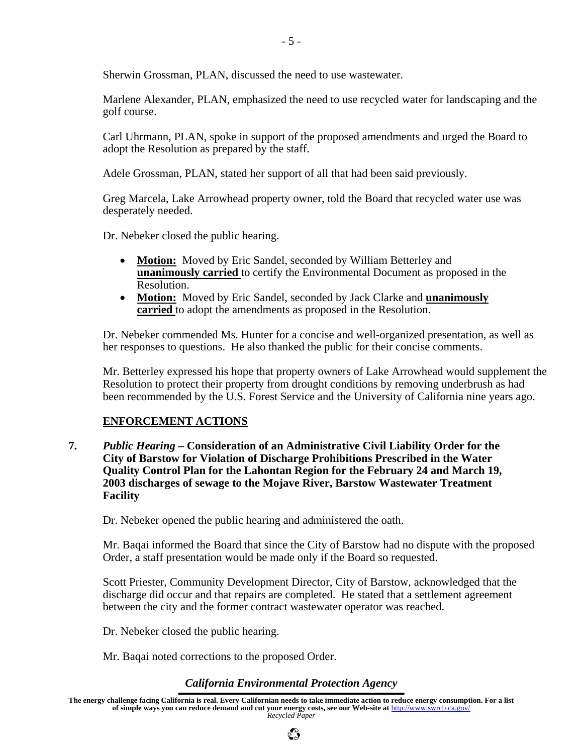Sherwin Grossman, PLAN, discussed the need to use wastewater.

Marlene Alexander, PLAN, emphasized the need to use recycled water for landscaping and the golf course.

Carl Uhrmann, PLAN, spoke in support of the proposed amendments and urged the Board to adopt the Resolution as prepared by the staff.

Adele Grossman, PLAN, stated her support of all that had been said previously.

Greg Marcela, Lake Arrowhead property owner, told the Board that recycled water use was desperately needed.

Dr. Nebeker closed the public hearing.

- **Motion:** Moved by Eric Sandel, seconded by William Betterley and **unanimously carried** to certify the Environmental Document as proposed in the Resolution.
- **Motion:** Moved by Eric Sandel, seconded by Jack Clarke and **unanimously carried** to adopt the amendments as proposed in the Resolution.

Dr. Nebeker commended Ms. Hunter for a concise and well-organized presentation, as well as her responses to questions. He also thanked the public for their concise comments.

Mr. Betterley expressed his hope that property owners of Lake Arrowhead would supplement the Resolution to protect their property from drought conditions by removing underbrush as had been recommended by the U.S. Forest Service and the University of California nine years ago.

### **ENFORCEMENT ACTIONS**

**7.** *Public Hearing* **– Consideration of an Administrative Civil Liability Order for the City of Barstow for Violation of Discharge Prohibitions Prescribed in the Water Quality Control Plan for the Lahontan Region for the February 24 and March 19, 2003 discharges of sewage to the Mojave River, Barstow Wastewater Treatment Facility** 

Dr. Nebeker opened the public hearing and administered the oath.

Mr. Baqai informed the Board that since the City of Barstow had no dispute with the proposed Order, a staff presentation would be made only if the Board so requested.

Scott Priester, Community Development Director, City of Barstow, acknowledged that the discharge did occur and that repairs are completed. He stated that a settlement agreement between the city and the former contract wastewater operator was reached.

Dr. Nebeker closed the public hearing.

Mr. Baqai noted corrections to the proposed Order.

### *California Environmental Protection Agency*

**The energy challenge facing California is real. Every Californian needs to take immediate action to reduce energy consumption. For a list of simple ways you can reduce demand and cut your energy costs, see our Web-site at** http://www.swrcb.ca.gov/ *Recycled Paper*

 $\mathbb{C}^{\infty}_{\mathcal{P}}$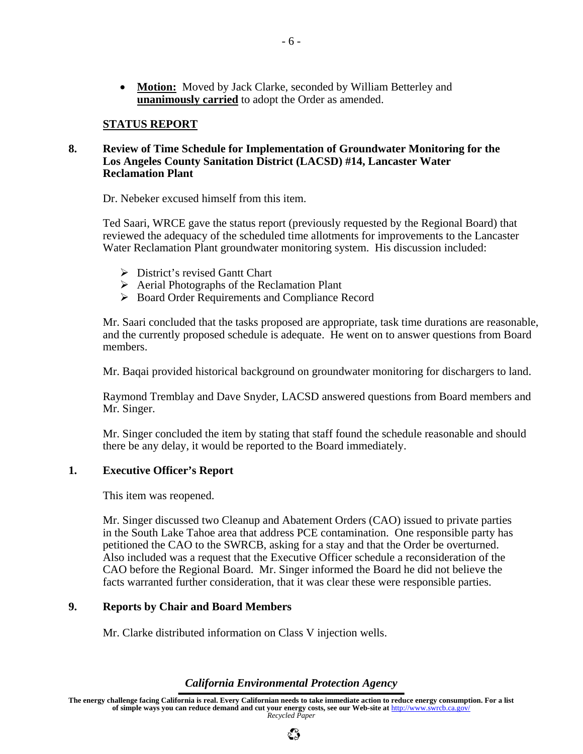• **Motion:** Moved by Jack Clarke, seconded by William Betterley and **unanimously carried** to adopt the Order as amended.

#### **STATUS REPORT**

#### **8. Review of Time Schedule for Implementation of Groundwater Monitoring for the Los Angeles County Sanitation District (LACSD) #14, Lancaster Water Reclamation Plant**

Dr. Nebeker excused himself from this item.

Ted Saari, WRCE gave the status report (previously requested by the Regional Board) that reviewed the adequacy of the scheduled time allotments for improvements to the Lancaster Water Reclamation Plant groundwater monitoring system. His discussion included:

- $\triangleright$  District's revised Gantt Chart
- $\triangleright$  Aerial Photographs of the Reclamation Plant
- ¾ Board Order Requirements and Compliance Record

Mr. Saari concluded that the tasks proposed are appropriate, task time durations are reasonable, and the currently proposed schedule is adequate. He went on to answer questions from Board members.

Mr. Baqai provided historical background on groundwater monitoring for dischargers to land.

Raymond Tremblay and Dave Snyder, LACSD answered questions from Board members and Mr. Singer.

Mr. Singer concluded the item by stating that staff found the schedule reasonable and should there be any delay, it would be reported to the Board immediately.

### **1. Executive Officer's Report**

This item was reopened.

Mr. Singer discussed two Cleanup and Abatement Orders (CAO) issued to private parties in the South Lake Tahoe area that address PCE contamination. One responsible party has petitioned the CAO to the SWRCB, asking for a stay and that the Order be overturned. Also included was a request that the Executive Officer schedule a reconsideration of the CAO before the Regional Board. Mr. Singer informed the Board he did not believe the facts warranted further consideration, that it was clear these were responsible parties.

### **9. Reports by Chair and Board Members**

Mr. Clarke distributed information on Class V injection wells.

#### *California Environmental Protection Agency*